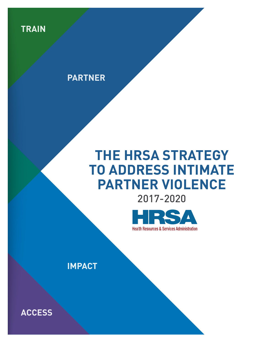

# **PARTNER**

# **THE HRSA STRATEGY TO ADDRESS INTIMATE PARTNER VIOLENCE**





**IMPACT**

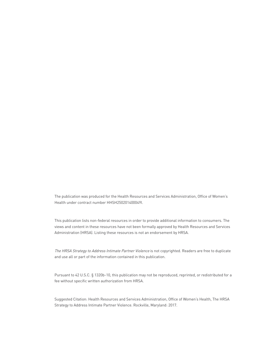The publication was produced for the Health Resources and Services Administration, Office of Women's Health under contract number HHSH250201400049I.

This publication lists non-federal resources in order to provide additional information to consumers. The views and content in these resources have not been formally approved by Health Resources and Services Administration (HRSA). Listing these resources is not an endorsement by HRSA.

The HRSA Strategy to Address Intimate Partner Violence is not copyrighted. Readers are free to duplicate and use all or part of the information contained in this publication.

Pursuant to 42 U.S.C. § 1320b-10, this publication may not be reproduced, reprinted, or redistributed for a fee without specific written authorization from HRSA.

Suggested Citation: Health Resources and Services Administration, Office of Women's Health, The HRSA Strategy to Address Intimate Partner Violence. Rockville, Maryland: 2017.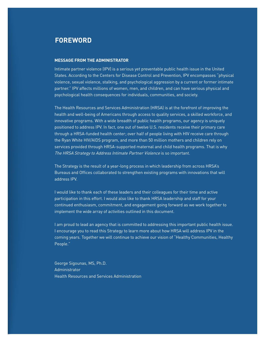# <span id="page-2-0"></span>**FOREWORD**

#### **MESSAGE FROM THE ADMINISTRATOR**

Intimate partner violence (IPV) is a serious yet preventable public health issue in the United States. According to the Centers for Disease Control and Prevention, IPV encompasses "physical violence, sexual violence, stalking, and psychological aggression by a current or former intimate partner." IPV affects millions of women, men, and children, and can have serious physical and psychological health consequences for individuals, communities, and society.

The Health Resources and Services Administration (HRSA) is at the forefront of improving the health and well-being of Americans through access to quality services, a skilled workforce, and innovative programs. With a wide breadth of public health programs, our agency is uniquely positioned to address IPV. In fact, one out of twelve U.S. residents receive their primary care through a HRSA-funded health center; over half of people living with HIV receive care through the Ryan White HIV/AIDS program, and more than 50 million mothers and children rely on services provided through HRSA-supported maternal and child health programs. That is why The HRSA Strategy to Address Intimate Partner Violence is so important.

The Strategy is the result of a year-long process in which leadership from across HRSA's Bureaus and Offices collaborated to strengthen existing programs with innovations that will address IPV.

I would like to thank each of these leaders and their colleagues for their time and active participation in this effort. I would also like to thank HRSA leadership and staff for your continued enthusiasm, commitment, and engagement going forward as we work together to implement the wide array of activities outlined in this document.

I am proud to lead an agency that is committed to addressing this important public health issue. I encourage you to read this Strategy to learn more about how HRSA will address IPV in the coming years. Together we will continue to achieve our vision of "Healthy Communities, Healthy People."

George Sigounas, MS, Ph.D. Administrator Health Resources and Services Administration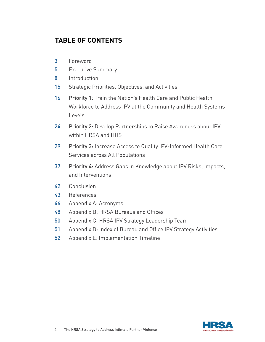# **TABLE OF CONTENTS**

- 3 [Foreword](#page-2-0)
- 5 [Executive Summary](#page-4-0)
- 8 [Introduction](#page-7-0)
- 15 [Strategic Priorities, Objectives, and Activities](#page-14-0)
- 16 Priority 1: Train the Nation's Health Care and Public Health [Workforce to Address IPV at the Community and Health Systems](#page-15-0)  [Levels](#page-15-0)
- 24 Priority 2: Develop Partnerships to Raise Awareness about IPV [within HRSA and HHS](#page-23-0)
- 29 Priority 3: Increase Access to Quality IPV-Informed Health Care [Services across All Populations](#page-28-0)
- 37 Priority 4: [Address Gaps in Knowledge about IPV Risks, Impacts,](#page-36-0)   [and Interventions](#page-36-0)
- 42 [Conclusion](#page-41-0)
- 43 [References](#page-42-0)
- 46 [Appendix A: Acronyms](#page-45-0)
- 48 [Appendix B: HRSA Bureaus and Offices](#page-47-0)
- 50 [Appendix C: HRSA IPV Strategy Leadership Team](#page-49-0)
- 51 [Appendix D: Index of Bureau and Office IPV Strategy Activities](#page-50-0)
- 52 Appendix E: Implementation Timeline

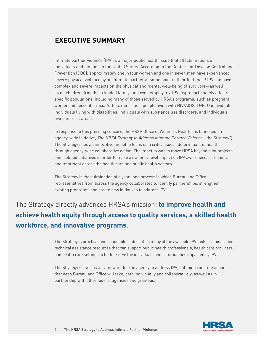# <span id="page-4-0"></span>**EXECUTIVE SUMMARY**

Intimate partner violence (IPV) is a major public health issue that affects millions of individuals and families in the United States. According to the Centers for Disease Control and Prevention (CDC), approximately one in four women and one in seven men have experienced severe physical violence by an intimate partner at some point in their lifetimes.<sup>1</sup> IPV can have complex and severe impacts on the physical and mental well-being of survivors—as well as on children, friends, extended family, and even employers. IPV disproportionately affects specific populations, including many of those served by HRSA's programs, such as pregnant women, adolescents, racial/ethnic minorities, people living with HIV/AIDS, LGBTQ individuals, individuals living with disabilities, individuals with substance use disorders, and individuals living in rural areas.

In response to this pressing concern, the HRSA Office of Women's Health has launched an agency-wide initiative, The HRSA Strategy to Address Intimate Partner Violence ("the Strategy"). The Strategy uses an innovative model to focus on a critical social determinant of health through agency-wide collaborative action. The impetus was to move HRSA beyond pilot projects and isolated initiatives in order to make a systems-level impact on IPV awareness, screening, and treatment across the health care and public health sectors.

The Strategy is the culmination of a year-long process in which Bureau and Office representatives from across the agency collaborated to identify partnerships, strengthen existing programs, and create new initiatives to address IPV.

The Strategy directly advances HRSA's mission: **to improve health and achieve health equity through access to quality services, a skilled health workforce, and innovative programs**.

> The Strategy is practical and actionable: it describes many of the available IPV tools, trainings, and technical assistance resources that can support public health professionals, health care providers, and health care settings to better serve the individuals and communities impacted by IPV.

The Strategy serves as a framework for the agency to address IPV, outlining concrete actions that each Bureau and Office will take, both individually and collaboratively, as well as in partnership with other federal agencies and grantees.

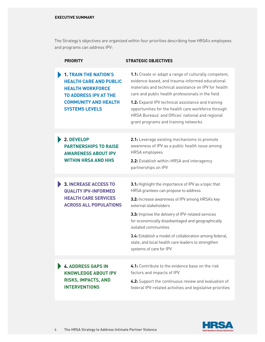The Strategy's objectives are organized within four priorities describing how HRSA's employees and programs can address IPV:

|  | <b>PRIORITY</b>                                                                                                                                                                  | <b>STRATEGIC OBJECTIVES</b>                                                                                                                                                                                                                                                                                                                                                                                                   |
|--|----------------------------------------------------------------------------------------------------------------------------------------------------------------------------------|-------------------------------------------------------------------------------------------------------------------------------------------------------------------------------------------------------------------------------------------------------------------------------------------------------------------------------------------------------------------------------------------------------------------------------|
|  | <b>1. TRAIN THE NATION'S</b><br><b>HEALTH CARE AND PUBLIC</b><br><b>HEALTH WORKFORCE</b><br><b>TO ADDRESS IPV AT THE</b><br><b>COMMUNITY AND HEALTH</b><br><b>SYSTEMS LEVELS</b> | 1.1: Create or adapt a range of culturally competent,<br>evidence-based, and trauma-informed educational<br>materials and technical assistance on IPV for health<br>care and public health professionals in the field<br>1.2: Expand IPV technical assistance and training<br>opportunities for the health care workforce through<br>HRSA Bureaus' and Offices' national and regional<br>grant programs and training networks |
|  | 2. DEVELOP                                                                                                                                                                       | 2.1: Leverage existing mechanisms to promote                                                                                                                                                                                                                                                                                                                                                                                  |
|  | <b>PARTNERSHIPS TO RAISE</b><br><b>AWARENESS ABOUT IPV</b>                                                                                                                       | awareness of IPV as a public health issue among<br><b>HRSA</b> employees                                                                                                                                                                                                                                                                                                                                                      |
|  | <b>WITHIN HRSA AND HHS</b>                                                                                                                                                       | 2.2: Establish within-HRSA and interagency<br>partnerships on IPV                                                                                                                                                                                                                                                                                                                                                             |
|  |                                                                                                                                                                                  |                                                                                                                                                                                                                                                                                                                                                                                                                               |
|  |                                                                                                                                                                                  |                                                                                                                                                                                                                                                                                                                                                                                                                               |
|  | <b>3. INCREASE ACCESS TO</b><br><b>QUALITY IPV-INFORMED</b>                                                                                                                      | 3.1: Highlight the importance of IPV as a topic that<br>HRSA grantees can propose to address                                                                                                                                                                                                                                                                                                                                  |
|  | <b>HEALTH CARE SERVICES</b><br><b>ACROSS ALL POPULATIONS</b>                                                                                                                     | 3.2: Increase awareness of IPV among HRSA's key<br>external stakeholders                                                                                                                                                                                                                                                                                                                                                      |
|  |                                                                                                                                                                                  | 3.3: Improve the delivery of IPV-related services<br>for economically disadvantaged and geographically<br>isolated communities                                                                                                                                                                                                                                                                                                |
|  |                                                                                                                                                                                  | 3.4: Establish a model of collaboration among federal,<br>state, and local health care leaders to strengthen<br>systems of care for IPV                                                                                                                                                                                                                                                                                       |
|  |                                                                                                                                                                                  |                                                                                                                                                                                                                                                                                                                                                                                                                               |
|  | <b>4. ADDRESS GAPS IN</b><br><b>KNOWLEDGE ABOUT IPV</b><br><b>RISKS, IMPACTS, AND</b>                                                                                            | 4.1: Contribute to the evidence base on the risk<br>factors and impacts of IPV                                                                                                                                                                                                                                                                                                                                                |

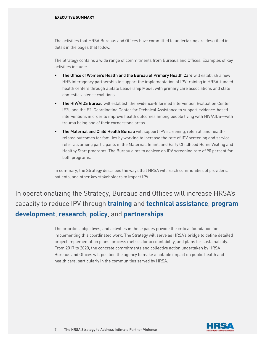The activities that HRSA Bureaus and Offices have committed to undertaking are described in detail in the pages that follow.

The Strategy contains a wide range of commitments from Bureaus and Offices. Examples of key activities include:

- The Office of Women's Health and the Bureau of Primary Health Care will establish a new HHS interagency partnership to support the implementation of IPV training in HRSA-funded health centers through a State Leadership Model with primary care associations and state domestic violence coalitions.
- The HIV/AIDS Bureau will establish the Evidence-Informed Intervention Evaluation Center (E2i) and the E2i Coordinating Center for Technical Assistance to support evidence-based interventions in order to improve health outcomes among people living with HIV/AIDS—with trauma being one of their cornerstone areas.
- The Maternal and Child Health Bureau will support IPV screening, referral, and healthrelated outcomes for families by working to increase the rate of IPV screening and service referrals among participants in the Maternal, Infant, and Early Childhood Home Visiting and Healthy Start programs. The Bureau aims to achieve an IPV screening rate of 90 percent for both programs.

In summary, the Strategy describes the ways that HRSA will reach communities of providers, patients, and other key stakeholders to impact IPV.

In operationalizing the Strategy, Bureaus and Offices will increase HRSA's capacity to reduce IPV through **training** and **technical assistance**, **program development**, **research**, **policy**, and **partnerships**.

> The priorities, objectives, and activities in these pages provide the critical foundation for implementing this coordinated work. The Strategy will serve as HRSA's bridge to define detailed project implementation plans, process metrics for accountability, and plans for sustainability. From 2017 to 2020, the concrete commitments and collective action undertaken by HRSA Bureaus and Offices will position the agency to make a notable impact on public health and health care, particularly in the communities served by HRSA.

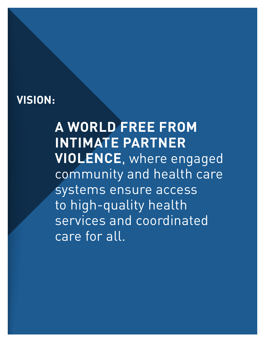# <span id="page-7-0"></span>**VISION:**

# **A WORLD FREE FROM INTIMATE PARTNER VIOLENCE**, where engaged community and health care systems ensure access to high-quality health services and coordinated care for all.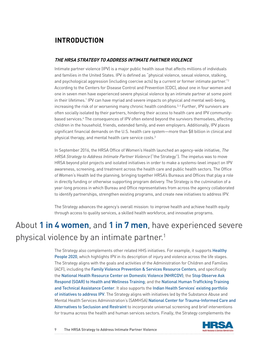# **INTRODUCTION**

# **THE HRSA STRATEGY TO ADDRESS INTIMATE PARTNER VIOLENCE**

Intimate partner violence (IPV) is a major public health issue that affects millions of individuals and families in the United States. IPV is defined as "physical violence, sexual violence, stalking, and psychological aggression (including coercive acts) by a current or former intimate partner."2 According to the Centers for Disease Control and Prevention (CDC), about one in four women and one in seven men have experienced severe physical violence by an intimate partner at some point in their lifetimes.1 IPV can have myriad and severe impacts on physical and mental well-being, increasing the risk of or worsening many chronic health conditions. $3.4$  Further, IPV survivors are often socially isolated by their partners, hindering their access to health care and IPV communitybased services.<sup>4</sup> The consequences of IPV often extend beyond the survivors themselves, affecting children in the household, friends, extended family, and even employers. Additionally, IPV places significant financial demands on the U.S. health care system—more than \$8 billion in clinical and physical therapy, and mental health care service costs.<sup>3</sup>

In September 2016, the HRSA Office of Women's Health launched an agency-wide initiative, The HRSA Strategy to Address Intimate Partner Violence ("the Strategy"). The impetus was to move HRSA beyond pilot projects and isolated initiatives in order to make a systems-level impact on IPV awareness, screening, and treatment across the health care and public health sectors. The Office of Women's Health led the planning, bringing together HRSA's Bureaus and Offices that play a role in directly funding or otherwise supporting program delivery. The Strategy is the culmination of a year-long process in which Bureau and Office representatives from across the agency collaborated to identify partnerships, strengthen existing programs, and create new initiatives to address IPV.

The Strategy advances the agency's overall mission: to improve health and achieve health equity through access to quality services, a skilled health workforce, and innovative programs.

# About **1 in 4 women**, and **1 in 7 men**, have experienced severe physical violence by an intimate partner.<sup>1</sup>

The Strategy also complements other related HHS initiatives. For example, it supports [Healthy](https://www.healthypeople.gov/) [People 2020](https://www.healthypeople.gov/), which highlights IPV in its description of injury and violence across the life stages. The Strategy aligns with the goals and activities of the Administration for Children and Families (ACF), including the [Family Violence Prevention & Services Resource Centers](https://www.acf.hhs.gov/fysb/fv-centers), and specifically the [National Health Resource Center on Domestic Violence \(NHRCDV\)](https://www.futureswithoutviolence.org/health/national-health-resource-center-on-domestic-violence/); the [Stop Observe Ask](https://www.acf.hhs.gov/otip/training/soar-to-health-and-wellness-training)  [Respond \(SOAR\) to Health and Wellness Training](https://www.acf.hhs.gov/otip/training/soar-to-health-and-wellness-training); and the [National Human Trafficking Training](https://www.acf.hhs.gov/otip/training/nhttac)  [and Technical Assistance Center](https://www.acf.hhs.gov/otip/training/nhttac). It also supports the [Indian Health Services' existing portfolio](https://www.ihs.gov/womenshealth/violenceprevention/) [of initiatives to address IPV](https://www.ihs.gov/womenshealth/violenceprevention/). The Strategy aligns with initiatives led by the Substance Abuse and Mental Health Services Administration's (SAMHSA) [National Center for Trauma-Informed Care and](https://www.samhsa.gov/nctic) [Alternatives to Seclusion and Restraint](https://www.samhsa.gov/nctic) to incorporate universal screening and brief interventions for trauma across the health and human services sectors. Finally, the Strategy complements the

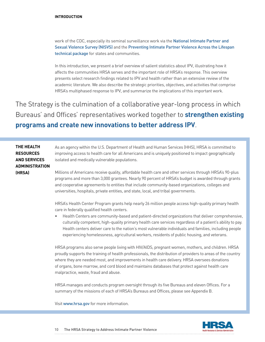#### **INTRODUCTION**

work of the CDC, especially its seminal surveillance work via the [National Intimate Partner and](https://www.cdc.gov/violenceprevention/nisvs/index.html)  [Sexual Violence Survey \(NISVS\)](https://www.cdc.gov/violenceprevention/nisvs/index.html) and the [Preventing Intimate Partner Violence Across the Lifespan](https://www.cdc.gov/violenceprevention/pdf/ipv-technicalpackages.pdf)  [technical package](https://www.cdc.gov/violenceprevention/pdf/ipv-technicalpackages.pdf) for states and communities.

In this introduction, we present a brief overview of salient statistics about IPV, illustrating how it affects the communities HRSA serves and the important role of HRSA's response. This overview presents select research findings related to IPV and health rather than an extensive review of the academic literature. We also describe the strategic priorities, objectives, and activities that comprise HRSA's multiphased response to IPV, and summarize the implications of this important work.

The Strategy is the culmination of a collaborative year-long process in which Bureaus' and Offices' representatives worked together to **strengthen existing programs and create new innovations to better address IPV**.

| THE HEALTH            | As an agency within the U.S. Department of Health and Human Services (HHS), HRSA is committed to                                                                                                                                                                                                                                                                                                                                                                                                                  |
|-----------------------|-------------------------------------------------------------------------------------------------------------------------------------------------------------------------------------------------------------------------------------------------------------------------------------------------------------------------------------------------------------------------------------------------------------------------------------------------------------------------------------------------------------------|
| <b>RESOURCES</b>      | improving access to health care for all Americans and is uniquely positioned to impact geographically                                                                                                                                                                                                                                                                                                                                                                                                             |
| <b>AND SERVICES</b>   | isolated and medically vulnerable populations.                                                                                                                                                                                                                                                                                                                                                                                                                                                                    |
| <b>ADMINISTRATION</b> |                                                                                                                                                                                                                                                                                                                                                                                                                                                                                                                   |
| (HRSA)                | Millions of Americans receive quality, affordable health care and other services through HRSA's 90-plus<br>programs and more than 3,000 grantees. Nearly 90 percent of HRSA's budget is awarded through grants<br>and cooperative agreements to entities that include community-based organizations, colleges and<br>universities, hospitals, private entities, and state, local, and tribal governments.<br>HRSA's Health Center Program grants help nearly 26 million neonle access high-quality primary health |

'am grants help nearly 26 million people access high-qu care in federally qualified health centers.

• Health Centers are community-based and patient-directed organizations that deliver comprehensive, culturally competent, high-quality primary health care services regardless of a patient's ability to pay. Health centers deliver care to the nation's most vulnerable individuals and families, including people experiencing homelessness, agricultural workers, residents of public housing, and veterans.

HRSA programs also serve people living with HIV/AIDS, pregnant women, mothers, and children. HRSA proudly supports the training of health professionals, the distribution of providers to areas of the country where they are needed most, and improvements in health care delivery. HRSA oversees donations of organs, bone marrow, and cord blood and maintains databases that protect against health care malpractice, waste, fraud and abuse.

HRSA manages and conducts program oversight through its five Bureaus and eleven Offices. For a summary of the missions of each of HRSA's Bureaus and Offices, please see Appendix B.

Visit [www.hrsa.gov](https://www.hrsa.gov/index.html) for more information.

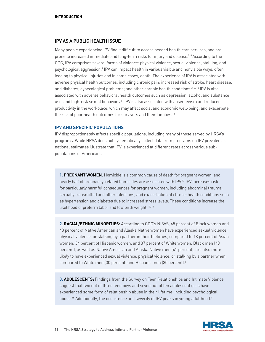#### **IPV AS A PUBLIC HEALTH ISSUE**

Many people experiencing IPV find it difficult to access needed health care services, and are prone to increased immediate and long-term risks for injury and disease.5-8 According to the CDC, IPV comprises several forms of violence: physical violence, sexual violence, stalking, and psychological aggression.2 IPV can impact health in various visible and nonvisible ways, often leading to physical injuries and in some cases, death. The experience of IPV is associated with adverse physical health outcomes, including chronic pain; increased risk of stroke, heart disease, and diabetes; gynecological problems; and other chronic health conditions.<sup>3, 9, 10</sup> IPV is also associated with adverse behavioral health outcomes such as depression, alcohol and substance use, and high-risk sexual behaviors.11 IPV is also associated with absenteeism and reduced productivity in the workplace, which may affect social and economic well-being, and exacerbate the risk of poor health outcomes for survivors and their families.<sup>12</sup>

## **IPV AND SPECIFIC POPULATIONS**

IPV disproportionately affects specific populations, including many of those served by HRSA's programs. While HRSA does not systematically collect data from programs on IPV prevalence, national estimates illustrate that IPV is experienced at different rates across various subpopulations of Americans.

**1. PREGNANT WOMEN:** Homicide is a common cause of death for pregnant women, and nearly half of pregnancy-related homicides are associated with IPV.13 IPV increases risk for particularly harmful consequences for pregnant women, including abdominal trauma, sexually transmitted and other infections, and exacerbation of chronic health conditions such as hypertension and diabetes due to increased stress levels. These conditions increase the likelihood of preterm labor and low birth weight.<sup>14, 15</sup>

**2. RACIAL/ETHNIC MINORITIES:** According to CDC's NISVS, 45 percent of Black women and 48 percent of Native American and Alaska Native women have experienced sexual violence, physical violence, or stalking by a partner in their lifetimes, compared to 18 percent of Asian women, 34 percent of Hispanic women, and 37 percent of White women. Black men (40 percent), as well as Native American and Alaska Native men (41 percent), are also more likely to have experienced sexual violence, physical violence, or stalking by a partner when compared to White men (30 percent) and Hispanic men (30 percent).<sup>1</sup>

**3. ADOLESCENTS:** Findings from the Survey on Teen Relationships and Intimate Violence suggest that two out of three teen boys and seven out of ten adolescent girls have experienced some form of relationship abuse in their lifetime, including psychological abuse.16 Additionally, the occurrence and severity of IPV peaks in young adulthood.17

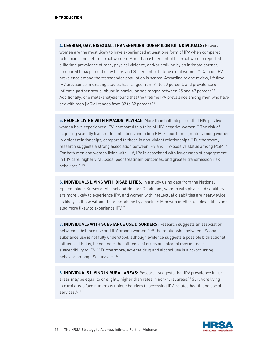**4. LESBIAN, GAY, BISEXUAL, TRANSGENDER, QUEER (LGBTQ) INDIVIDUALS:** Bisexual women are the most likely to have experienced at least one form of IPV when compared to lesbians and heterosexual women. More than 61 percent of bisexual women reported a lifetime prevalence of rape, physical violence, and/or stalking by an intimate partner, compared to 44 percent of lesbians and 35 percent of heterosexual women.18 Data on IPV prevalence among the transgender population is scarce. According to one review, lifetime IPV prevalence in existing studies has ranged from 31 to 50 percent, and prevalence of intimate partner sexual abuse in particular has ranged between 25 and 47 percent.<sup>19</sup> Additionally, one meta-analysis found that the lifetime IPV prevalence among men who have sex with men (MSM) ranges from 32 to 82 percent.<sup>20</sup>

**5. PEOPLE LIVING WITH HIV/AIDS (PLWHA):** More than half (55 percent) of HIV-positive women have experienced IPV, compared to a third of HIV-negative women.<sup>21</sup> The risk of acquiring sexually transmitted infections, including HIV, is four times greater among women in violent relationships, compared to those in non-violent relationships.<sup>22</sup> Furthermore, research suggests a strong association between IPV and HIV-positive status among MSM.18 For both men and women living with HIV, IPV is associated with lower rates of engagement in HIV care, higher viral loads, poor treatment outcomes, and greater transmission risk behaviors.23, 24

**6. INDIVIDUALS LIVING WITH DISABILITIES:** In a study using data from the National Epidemiologic Survey of Alcohol and Related Conditions, women with physical disabilities are more likely to experience IPV, and women with intellectual disabilities are nearly twice as likely as those without to report abuse by a partner. Men with intellectual disabilities are also more likely to experience IPV.25

**7. INDIVIDUALS WITH SUBSTANCE USE DISORDERS:** Research suggests an association between substance use and IPV among women.<sup>26-28</sup> The relationship between IPV and substance use is not fully understood, although evidence suggests a possible bidirectional influence. That is, being under the influence of drugs and alcohol may increase susceptibility to IPV. 29 Furthermore, adverse drug and alcohol use is a co-occurring behavior among IPV survivors.<sup>30</sup>

8. **INDIVIDUALS LIVING IN RURAL AREAS:** Research suggests that IPV prevalence in rural areas may be equal to or slightly higher than rates in non-rural areas.31 Survivors living in rural areas face numerous unique barriers to accessing IPV-related health and social services.<sup>6, 31</sup>

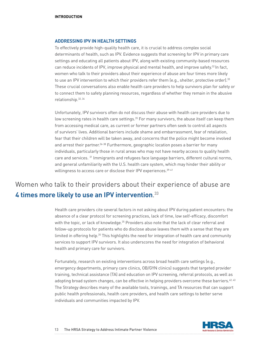### **ADDRESSING IPV IN HEALTH SETTINGS**

To effectively provide high-quality health care, it is crucial to address complex social determinants of health, such as IPV. Evidence suggests that screening for IPV in primary care settings and educating all patients about IPV, along with existing community-based resources can reduce incidents of IPV, improve physical and mental health, and improve safety.<sup>32</sup> In fact, women who talk to their providers about their experience of abuse are four times more likely to use an IPV intervention to which their providers refer them (e.g., shelter, protective order).<sup>33</sup> These crucial conversations also enable health care providers to help survivors plan for safety or to connect them to safety planning resources, regardless of whether they remain in the abusive relationship.32, 34

Unfortunately, IPV survivors often do not discuss their abuse with health care providers due to low screening rates in health care settings.<sup>35</sup> For many survivors, the abuse itself can keep them from accessing medical care, as current or former partners often seek to control all aspects of survivors' lives. Additional barriers include shame and embarrassment, fear of retaliation, fear that their children will be taken away, and concerns that the police might become involved and arrest their partner.<sup>36-38</sup> Furthermore, geographic location poses a barrier for many individuals, particularly those in rural areas who may not have nearby access to quality health care and services. 31 Immigrants and refugees face language barriers, different cultural norms, and general unfamiliarity with the U.S. health care system, which may hinder their ability or willingness to access care or disclose their IPV experiences.<sup>39-41</sup>

# Women who talk to their providers about their experience of abuse are **4 times more likely to use an IPV intervention**. 33

Health care providers cite several factors in not asking about IPV during patient encounters: the absence of a clear protocol for screening practices, lack of time, low self-efficacy, discomfort with the topic, or lack of knowledge.<sup>35</sup> Providers also note that the lack of clear referral and follow-up protocols for patients who do disclose abuse leaves them with a sense that they are limited in offering help.35 This highlights the need for integration of health care and community services to support IPV survivors. It also underscores the need for integration of behavioral health and primary care for survivors.

Fortunately, research on existing interventions across broad health care settings (e.g., emergency departments, primary care clinics, OB/GYN clinics) suggests that targeted provider training, technical assistance (TA) and education on IPV screening, referral protocols, as well as adopting broad system changes, can be effective in helping providers overcome these barriers.<sup>42, 43</sup> The Strategy describes many of the available tools, trainings, and TA resources that can support public health professionals, health care providers, and health care settings to better serve individuals and communities impacted by IPV.

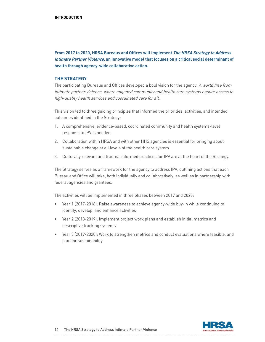**From 2017 to 2020, HRSA Bureaus and Offices will implement The HRSA Strategy to Address Intimate Partner Violence, an innovative model that focuses on a critical social determinant of health through agency-wide collaborative action.**

## **THE STRATEGY**

The participating Bureaus and Offices developed a bold vision for the agency: A world free from intimate partner violence, where engaged community and health care systems ensure access to high-quality health services and coordinated care for all.

This vision led to three guiding principles that informed the priorities, activities, and intended outcomes identified in the Strategy:

- 1. A comprehensive, evidence-based, coordinated community and health systems-level response to IPV is needed.
- 2. Collaboration within HRSA and with other HHS agencies is essential for bringing about sustainable change at all levels of the health care system.
- 3. Culturally relevant and trauma-informed practices for IPV are at the heart of the Strategy.

The Strategy serves as a framework for the agency to address IPV, outlining actions that each Bureau and Office will take, both individually and collaboratively, as well as in partnership with federal agencies and grantees.

The activities will be implemented in three phases between 2017 and 2020:

- Year 1 (2017-2018): Raise awareness to achieve agency-wide buy-in while continuing to identify, develop, and enhance activities
- Year 2 (2018-2019): Implement project work plans and establish initial metrics and descriptive tracking systems
- Year 3 (2019-2020): Work to strengthen metrics and conduct evaluations where feasible, and plan for sustainability

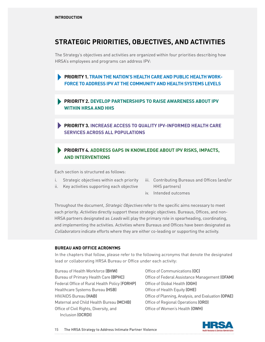# <span id="page-14-0"></span>**STRATEGIC PRIORITIES, OBJECTIVES, AND ACTIVITIES**

The Strategy's objectives and activities are organized within four priorities describing how HRSA's employees and programs can address IPV:

**PRIORITY 1. TRAIN THE NATION'S HEALTH CARE AND PUBLIC HEALTH WORK-FORCE TO ADDRESS IPV AT THE COMMUNITY AND HEALTH SYSTEMS LEVELS** 

**PRIORITY 2. DEVELOP PARTNERSHIPS TO RAISE AWARENESS ABOUT IPV WITHIN HRSA AND HHS**

**PRIORITY 3. INCREASE ACCESS TO QUALITY IPV-INFORMED HEALTH CARE SERVICES ACROSS ALL POPULATIONS**

# **PRIORITY 4. ADDRESS GAPS IN KNOWLEDGE ABOUT IPV RISKS, IMPACTS, AND INTERVENTIONS**

Each section is structured as follows:

- i. Strategic objectives within each priority
- ii. Key activities supporting each objective
- iii. Contributing Bureaus and Offices (and/or HHS partners)
- iv. Intended outcomes

Throughout the document, Strategic Objectives refer to the specific aims necessary to meet each priority. Activities directly support these strategic objectives. Bureaus, Offices, and non-HRSA partners designated as Leads will play the primary role in spearheading, coordinating, and implementing the activities. Activities where Bureaus and Offices have been designated as Collaborators indicate efforts where they are either co-leading or supporting the activity.

## **BUREAU AND OFFICE ACRONYMS**

In the chapters that follow, please refer to the following acronyms that denote the designated lead or collaborating HRSA Bureau or Office under each activity:

Bureau of Health Workforce (BHW) Bureau of Primary Health Care (BPHC) Federal Office of Rural Health Policy (FORHP) Healthcare Systems Bureau (HSB) HIV/AIDS Bureau (HAB) Maternal and Child Health Bureau (MCHB) Office of Civil Rights, Diversity, and Inclusion (OCRDI)

Office of Communications (OC) Office of Federal Assistance Management (OFAM) Office of Global Health (OGH) Office of Health Equity (OHE) Office of Planning, Analysis, and Evaluation (OPAE) Office of Regional Operations (ORO) Office of Women's Health (OWH)

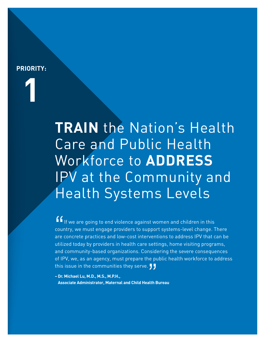# <span id="page-15-0"></span>**PRIORITY:**

**1**

**TRAIN** the Nation's Health Care and Public Health Workforce to **ADDRESS** IPV at the Community and Health Systems Levels

" If we are going to end violence against women and children in this country, we must engage providers to support systems-level change. There are concrete practices and low-cost interventions to address IPV that can be utilized today by providers in health care settings, home visiting programs, and community-based organizations. Considering the severe consequences of IPV, we, as an agency, must prepare the public health workforce to address this issue in the communities they serve.  $\overline{J}$ 

**– Dr. Michael Lu, M.D., M.S., M.P.H.,** nis issue in the communities they serve. *J J*<br>Dr. Michael Lu, M.D., M.S., M.P.H.,<br>Associate Administrator, Maternal and Child Health Bureau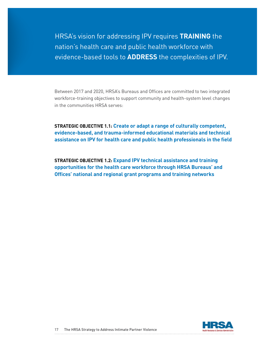HRSA's vision for addressing IPV requires **TRAINING** the nation's health care and public health workforce with evidence-based tools to **ADDRESS** the complexities of IPV.

Between 2017 and 2020, HRSA's Bureaus and Offices are committed to two integrated workforce-training objectives to support community and health-system level changes in the communities HRSA serves:

**STRATEGIC OBJECTIVE 1.1: Create or adapt a range of culturally competent, evidence-based, and trauma-informed educational materials and technical assistance on IPV for health care and public health professionals in the field**

**STRATEGIC OBJECTIVE 1.2: Expand IPV technical assistance and training opportunities for the health care workforce through HRSA Bureaus' and Offices' national and regional grant programs and training networks**

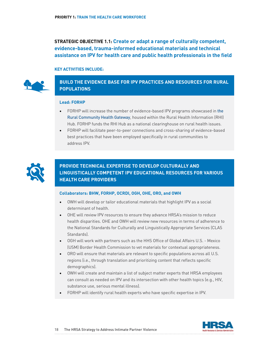**STRATEGIC OBJECTIVE 1.1: Create or adapt a range of culturally competent, evidence-based, trauma-informed educational materials and technical assistance on IPV for health care and public health professionals in the field**

#### **KEY ACTIVITIES INCLUDE:**



# **BUILD THE EVIDENCE BASE FOR IPV PRACTICES AND RESOURCES FOR RURAL POPULATIONS**

#### **Lead: FORHP**

- FORHP will increase the number of evidence-based IPV programs showcased in [the](https://www.ruralhealthinfo.org/community-health)  [Rural Community Health Gateway](https://www.ruralhealthinfo.org/community-health), housed within the Rural Health Information (RHI) Hub. FORHP funds the RHI Hub as a national clearinghouse on rural health issues.
- FORHP will facilitate peer-to-peer connections and cross-sharing of evidence-based best practices that have been employed specifically in rural communities to address IPV.



# **PROVIDE TECHNICAL EXPERTISE TO DEVELOP CULTURALLY AND LINGUISTICALLY COMPETENT IPV EDUCATIONAL RESOURCES FOR VARIOUS HEALTH CARE PROVIDERS**

#### **Collaborators: BHW, FORHP, OCRDI, OGH, OHE, ORO, and OWH**

- OWH will develop or tailor educational materials that highlight IPV as a social determinant of health.
- OHE will review IPV resources to ensure they advance HRSA's mission to reduce health disparities. OHE and OWH will review new resources in terms of adherence to the National Standards for Culturally and Linguistically Appropriate Services (CLAS Standards).
- OGH will work with partners such as the HHS Office of Global Affairs U.S. Mexico (USM) Border Health Commission to vet materials for contextual appropriateness.
- ORO will ensure that materials are relevant to specific populations across all U.S. regions (i.e., through translation and prioritizing content that reflects specific demographics).
- OWH will create and maintain a list of subject matter experts that HRSA employees can consult as needed on IPV and its intersection with other health topics (e.g., HIV, substance use, serious mental illness).
- FORHP will identify rural health experts who have specific expertise in IPV.

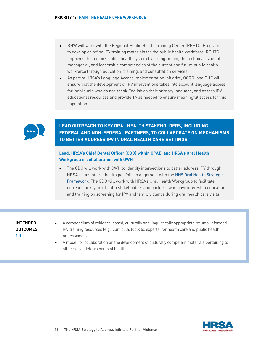- BHW will work with the Regional Public Health Training Center (RPHTC) Program to develop or refine IPV training materials for the public health workforce. RPHTC improves the nation's public health system by strengthening the technical, scientific, managerial, and leadership competencies of the current and future public health workforce through education, training, and consultation services.
- As part of HRSA's Language Access Implementation Initiative, OCRDI and OHE will ensure that the development of IPV interventions takes into account language access for individuals who do not speak English as their primary language, and assess IPV educational resources and provide TA as needed to ensure meaningful access for this population.



# **LEAD OUTREACH TO KEY ORAL HEALTH STAKEHOLDERS, INCLUDING FEDERAL AND NON-FEDERAL PARTNERS, TO COLLABORATE ON MECHANISMS TO BETTER ADDRESS IPV IN ORAL HEALTH CARE SETTINGS**

## **Lead: HRSA's Chief Dental Officer (CDO) within OPAE, and HRSA's Oral Health Workgroup in collaboration with OWH**

• The CDO will work with OWH to identify intersections to better address IPV through HRSA's current oral health portfolio in alignment with the [HHS Oral Health Strategic](https://www.hrsa.gov/oralhealth/oralhealthframework.pdf) [Framework](https://www.hrsa.gov/oralhealth/oralhealthframework.pdf). The CDO will work with HRSA's Oral Health Workgroup to facilitate outreach to key oral health stakeholders and partners who have interest in education and training on screening for IPV and family violence during oral health care visits.

# **INTENDED OUTCOMES 1.1**

- A compendium of evidence-based, culturally and linguistically appropriate trauma-informed IPV training resources (e.g., curricula, toolkits, experts) for health care and public health professionals
- A model for collaboration on the development of culturally competent materials pertaining to other social determinants of health

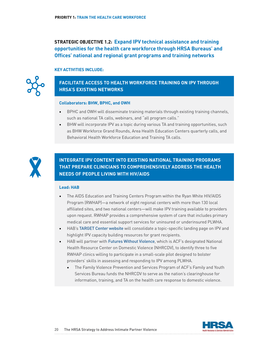**STRATEGIC OBJECTIVE 1.2: Expand IPV technical assistance and training opportunities for the health care workforce through HRSA Bureaus' and Offices' national and regional grant programs and training networks**

### **KEY ACTIVITIES INCLUDE:**



# **FACILITATE ACCESS TO HEALTH WORKFORCE TRAINING ON IPV THROUGH HRSA'S EXISTING NETWORKS**

#### **Collaborators: BHW, BPHC, and OWH**

- BPHC and OWH will disseminate training materials through existing training channels, such as national TA calls, webinars, and "all program calls."
- BHW will incorporate IPV as a topic during various TA and training opportunities, such as BHW Workforce Grand Rounds, Area Health Education Centers quarterly calls, and Behavioral Health Workforce Education and Training TA calls.



**INTEGRATE IPV CONTENT INTO EXISTING NATIONAL TRAINING PROGRAMS THAT PREPARE CLINICIANS TO COMPREHENSIVELY ADDRESS THE HEALTH NEEDS OF PEOPLE LIVING WITH HIV/AIDS**

#### **Lead: HAB**

- The AIDS Education and Training Centers Program within the Ryan White HIV/AIDS Program (RWHAP)—a network of eight regional centers with more than 130 local affiliated sites, and two national centers—will make IPV training available to providers upon request. RWHAP provides a comprehensive system of care that includes primary medical care and essential support services for uninsured or underinsured PLWHA.
- HAB's [TARGET Center website](https://careacttarget.org/) will consolidate a topic-specific landing page on IPV and highlight IPV capacity building resources for grant recipients.
- HAB will partner with [Futures Without Violence](http://www.futureswithoutviolence.org/health), which is ACF's designated National Health Resource Center on Domestic Violence (NHRCDV), to identify three to five RWHAP clinics willing to participate in a small-scale pilot designed to bolster providers' skills in assessing and responding to IPV among PLWHA.
	- The Family Violence Prevention and Services Program of ACF's Family and Youth Services Bureau funds the NHRCDV to serve as the nation's clearinghouse for information, training, and TA on the health care response to domestic violence.

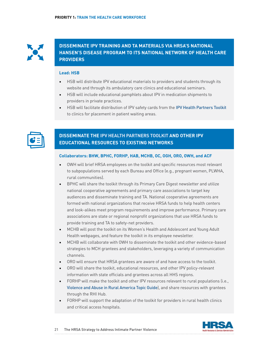

**DISSEMINATE IPV TRAINING AND TA MATERIALS VIA HRSA'S NATIONAL HANSEN'S DISEASE PROGRAM TO ITS NATIONAL NETWORK OF HEALTH CARE PROVIDERS**

#### **Lead: HSB**

- HSB will distribute IPV educational materials to providers and students through its website and through its ambulatory care clinics and educational seminars.
- HSB will include educational pamphlets about IPV in medication shipments to providers in private practices.
- HSB will facilitate distribution of IPV safety cards from the [IPV Health Partners Toolkit](http://ipvhealthpartners.org/) to clinics for placement in patient waiting areas.



# **DISSEMINATE THE [IPV HEALTH PARTNERS TOOLKIT](http://ipvhealthpartners.org/) AND OTHER IPV EDUCATIONAL RESOURCES TO EXISTING NETWORKS**

### **Collaborators: BHW, BPHC, FORHP, HAB, MCHB, OC, OGH, ORO, OWH, and ACF**

- OWH will brief HRSA employees on the toolkit and specific resources most relevant to subpopulations served by each Bureau and Office (e.g., pregnant women, PLWHA, rural communities).
- BPHC will share the toolkit through its Primary Care Digest newsletter and utilize national cooperative agreements and primary care associations to target key audiences and disseminate training and TA. National cooperative agreements are formed with national organizations that receive HRSA funds to help health centers and look-alikes meet program requirements and improve performance. Primary care associations are state or regional nonprofit organizations that use HRSA funds to provide training and TA to safety-net providers.
- MCHB will post the toolkit on its Women's Health and Adolescent and Young Adult Health webpages, and feature the toolkit in its employee newsletter.
- MCHB will collaborate with OWH to disseminate the toolkit and other evidence-based strategies to MCH grantees and stakeholders, leveraging a variety of communication channels.
- ORO will ensure that HRSA grantees are aware of and have access to the toolkit.
- ORO will share the toolkit, educational resources, and other IPV policy-relevant information with state officials and grantees across all HHS regions.
- FORHP will make the toolkit and other IPV resources relevant to rural populations (i.e., [Violence and Abuse in Rural America Topic Guide](https://www.ruralhealthinfo.org/topics/violence-and-abuse)), and share resources with grantees through the RHI Hub.
- FORHP will support the adaptation of the toolkit for providers in rural health clinics and critical access hospitals.

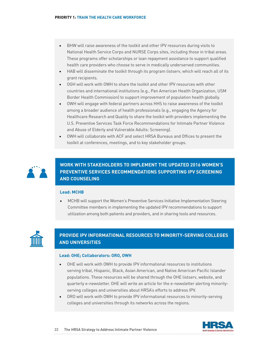- BHW will raise awareness of the toolkit and other IPV resources during visits to National Health Service Corps and NURSE Corps sites, including those in tribal areas. These programs offer scholarships or loan repayment assistance to support qualified health care providers who choose to serve in medically underserved communities.
- HAB will disseminate the toolkit through its program listserv, which will reach all of its grant recipients.
- OGH will work with OWH to share the toolkit and other IPV resources with other countries and international institutions (e.g., Pan American Health Organization, USM Border Health Commission) to support improvement of population health globally.
- OWH will engage with federal partners across HHS to raise awareness of the toolkit among a broader audience of health professionals (e.g., engaging the Agency for Healthcare Research and Quality to share the toolkit with providers implementing the U.S. Preventive Services Task Force Recommendations for Intimate Partner Violence and Abuse of Elderly and Vulnerable Adults: Screening).
- OWH will collaborate with ACF and select HRSA Bureaus and Offices to present the toolkit at conferences, meetings, and to key stakeholder groups.



**WORK WITH STAKEHOLDERS TO IMPLEMENT THE UPDATED 2016 WOMEN'S PREVENTIVE SERVICES RECOMMENDATIONS SUPPORTING IPV SCREENING AND COUNSELING**

## **Lead: MCHB**

• MCHB will support the Women's Preventive Services Initiative Implementation Steering Committee members in implementing the updated IPV recommendations to support utilization among both patients and providers, and in sharing tools and resources.



# **PROVIDE IPV INFORMATIONAL RESOURCES TO MINORITY-SERVING COLLEGES AND UNIVERSITIES**

#### **Lead: OHE; Collaborators: ORO, OWH**

- OHE will work with OWH to provide IPV informational resources to institutions serving tribal, Hispanic, Black, Asian American, and Native American Pacific Islander populations. These resources will be shared through the OHE listserv, website, and quarterly e-newsletter. OHE will write an article for the e-newsletter alerting minorityserving colleges and universities about HRSA's efforts to address IPV.
- ORO will work with OWH to provide IPV informational resources to minority-serving colleges and universities through its networks across the regions.

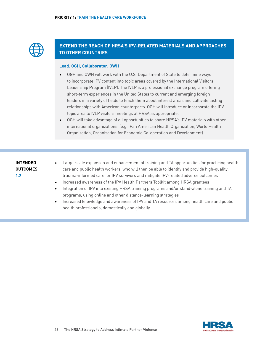

# **EXTEND THE REACH OF HRSA'S IPV-RELATED MATERIALS AND APPROACHES TO OTHER COUNTRIES**

#### **Lead: OGH; Collaborator: OWH**

- OGH and OWH will work with the U.S. Department of State to determine ways to incorporate IPV content into topic areas covered by the International Visitors Leadership Program (IVLP). The IVLP is a professional exchange program offering short-term experiences in the United States to current and emerging foreign leaders in a variety of fields to teach them about interest areas and cultivate lasting relationships with American counterparts. OGH will introduce or incorporate the IPV topic area to IVLP visitors meetings at HRSA as appropriate.
- OGH will take advantage of all opportunities to share HRSA's IPV materials with other international organizations, (e.g., Pan American Health Organization, World Health Organization, Organisation for Economic Co-operation and Development).

# **INTENDED OUTCOMES 1.2**

- Large-scale expansion and enhancement of training and TA opportunities for practicing health care and public health workers, who will then be able to identify and provide high-quality, trauma-informed care for IPV survivors and mitigate IPV-related adverse outcomes
- Increased awareness of the IPV Health Partners Toolkit among HRSA grantees
- Integration of IPV into existing HRSA training programs and/or stand-alone training and TA programs, using online and other distance-learning strategies
- Increased knowledge and awareness of IPV and TA resources among health care and public health professionals, domestically and globally

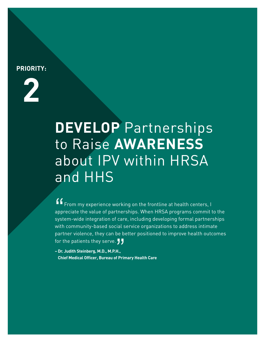# <span id="page-23-0"></span>**PRIORITY:**



# **DEVELOP** Partnerships to Raise **AWARENESS** about IPV within HRSA and HHS

 $\binom{6}{\text{app}}$ <br>syst From my experience working on the frontline at health centers, I appreciate the value of partnerships. When HRSA programs commit to the system-wide integration of care, including developing formal partnerships with community-based social service organizations to address intimate partner violence, they can be better positioned to improve health outcomes for the patients they serve.  $\overline{\phantom{a}}$ 

or the patients they serve. **J J**<br>Dr. Judith Steinberg, M.D., M.P.H.,<br>Chief Medical Officer, Bureau of Primary Health Care **– Dr. Judith Steinberg, M.D., M.P.H.,**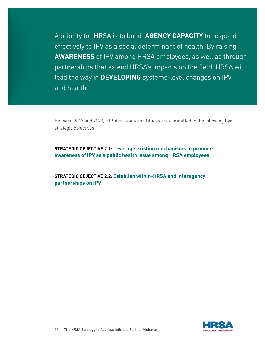A priority for HRSA is to build **AGENCY CAPACITY** to respond effectively to IPV as a social determinant of health. By raising **AWARENESS** of IPV among HRSA employees, as well as through partnerships that extend HRSA's impacts on the field, HRSA will lead the way in **DEVELOPING** systems-level changes on IPV and health.

Between 2017 and 2020, HRSA Bureaus and Offices are committed to the following two strategic objectives:

**STRATEGIC OBJECTIVE 2.1: Leverage existing mechanisms to promote awareness of IPV as a public health issue among HRSA employees**

**STRATEGIC OBJECTIVE 2.2: Establish within-HRSA and interagency partnerships on IPV**

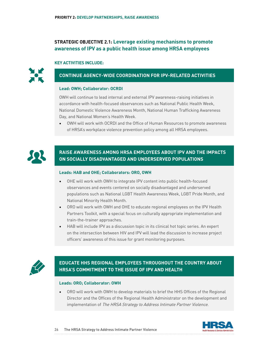# **STRATEGIC OBJECTIVE 2.1: Leverage existing mechanisms to promote awareness of IPV as a public health issue among HRSA employees**

#### **KEY ACTIVITIES INCLUDE:**



# **CONTINUE AGENCY-WIDE COORDINATION FOR IPV-RELATED ACTIVITIES**

#### **Lead: OWH; Collaborator: OCRDI**

OWH will continue to lead internal and external IPV awareness-raising initiatives in accordance with health-focused observances such as National Public Health Week, National Domestic Violence Awareness Month, National Human Trafficking Awareness Day, and National Women's Health Week.

• OWH will work with OCRDI and the Office of Human Resources to promote awareness of HRSA's workplace violence prevention policy among all HRSA employees.



# **RAISE AWARENESS AMONG HRSA EMPLOYEES ABOUT IPV AND THE IMPACTS ON SOCIALLY DISADVANTAGED AND UNDERSERVED POPULATIONS**

#### **Leads: HAB and OHE; Collaborators: ORO, OWH**

- OHE will work with OWH to integrate IPV content into public health-focused observances and events centered on socially disadvantaged and underserved populations such as National LGBT Health Awareness Week, LGBT Pride Month, and National Minority Health Month.
- ORO will work with OWH and OHE to educate regional employees on the IPV Health Partners Toolkit, with a special focus on culturally appropriate implementation and train-the-trainer approaches.
- HAB will include IPV as a discussion topic in its clinical hot topic series. An expert on the intersection between HIV and IPV will lead the discussion to increase project officers' awareness of this issue for grant monitoring purposes.



# **EDUCATE HHS REGIONAL EMPLOYEES THROUGHOUT THE COUNTRY ABOUT HRSA'S COMMITMENT TO THE ISSUE OF IPV AND HEALTH**

#### **Leads: ORO; Collaborator: OWH**

• ORO will work with OWH to develop materials to brief the HHS Offices of the Regional Director and the Offices of the Regional Health Administrator on the development and implementation of The HRSA Strategy to Address Intimate Partner Violence.

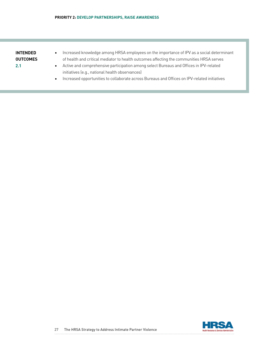| INTENDED |
|----------|
| OUTCOMES |
| 2.1      |

- Increased knowledge among HRSA employees on the importance of IPV as a social determinant of health and critical mediator to health outcomes affecting the communities HRSA serves
- Active and comprehensive participation among select Bureaus and Offices in IPV-related initiatives (e.g., national health observances)
- Increased opportunities to collaborate across Bureaus and Offices on IPV-related initiatives

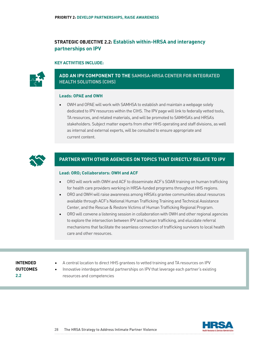# **STRATEGIC OBJECTIVE 2.2: Establish within-HRSA and interagency partnerships on IPV**

#### **KEY ACTIVITIES INCLUDE:**



# **ADD AN IPV COMPONENT TO THE [SAMHSA-HRSA CENTER FOR INTEGRATED](https://www.samhsa.gov/integrated-health-solutions) [HEALTH SOLUTIONS \(CIHS\)](https://www.samhsa.gov/integrated-health-solutions)**

#### **Leads: OPAE and OWH**

• OWH and OPAE will work with SAMHSA to establish and maintain a webpage solely dedicated to IPV resources within the CIHS. The IPV page will link to federally vetted tools, TA resources, and related materials, and will be promoted to SAMHSA's and HRSA's stakeholders. Subject matter experts from other HHS operating and staff divisions, as well as internal and external experts, will be consulted to ensure appropriate and current content.



## **PARTNER WITH OTHER AGENCIES ON TOPICS THAT DIRECTLY RELATE TO IPV**

#### **Lead: ORO; Collaborators: OWH and ACF**

- ORO will work with OWH and ACF to disseminate ACF's SOAR training on human trafficking for health care providers working in HRSA-funded programs throughout HHS regions.
- ORO and OWH will raise awareness among HRSA's grantee communities about resources available through ACF's National Human Trafficking Training and Technical Assistance Center, and the Rescue & Restore Victims of Human Trafficking Regional Program.
- ORO will convene a listening session in collaboration with OWH and other regional agencies to explore the intersection between IPV and human trafficking, and elucidate referral mechanisms that facilitate the seamless connection of trafficking survivors to local health care and other resources.

# **INTENDED OUTCOMES 2.2**

- A central location to direct HHS grantees to vetted training and TA resources on IPV
- Innovative interdepartmental partnerships on IPV that leverage each partner's existing resources and competencies

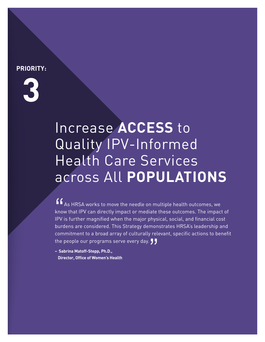# <span id="page-28-0"></span>**PRIORITY:**



# Increase **ACCESS** to Quality IPV-Informed Health Care Services across All **POPULATIONS**

" As HRSA works to move the needle on multiple health outcomes, we know that IPV can directly impact or mediate these outcomes. The impact of IPV is further magnified when the major physical, social, and financial cost burdens are considered. This Strategy demonstrates HRSA's leadership and commitment to a broad array of culturally relevant, specific actions to benefit the people our programs serve every day. JJ<br>- Sabrina Matoff-Stepp, Ph.D.,<br>Director, Office of Women's Health

**– Sabrina Matoff-Stepp, Ph.D., Director, Office of Women's Health**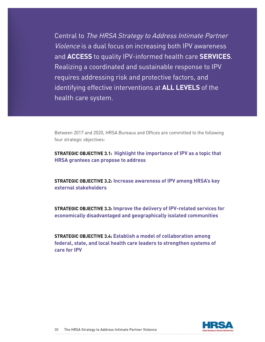Central to The HRSA Strategy to Address Intimate Partner Violence is a dual focus on increasing both IPV awareness and **ACCESS** to quality IPV-informed health care **SERVICES**. Realizing a coordinated and sustainable response to IPV requires addressing risk and protective factors, and identifying effective interventions at **ALL LEVELS** of the health care system.

Between 2017 and 2020, HRSA Bureaus and Offices are committed to the following four strategic objectives:

**STRATEGIC OBJECTIVE 3.1: Highlight the importance of IPV as a topic that HRSA grantees can propose to address**

**STRATEGIC OBJECTIVE 3.2: Increase awareness of IPV among HRSA's key external stakeholders**

**STRATEGIC OBJECTIVE 3.3: Improve the delivery of IPV-related services for economically disadvantaged and geographically isolated communities**

**STRATEGIC OBJECTIVE 3.4: Establish a model of collaboration among federal, state, and local health care leaders to strengthen systems of care for IPV**

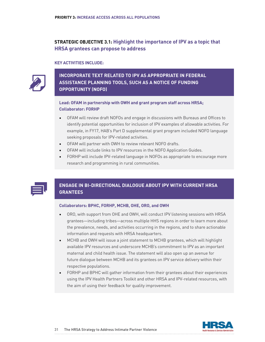# **STRATEGIC OBJECTIVE 3.1: Highlight the importance of IPV as a topic that HRSA grantees can propose to address**

#### **KEY ACTIVITIES INCLUDE:**



# **INCORPORATE TEXT RELATED TO IPV AS APPROPRIATE IN FEDERAL ASSISTANCE PLANNING TOOLS, SUCH AS A NOTICE OF FUNDING OPPORTUNITY (NOFO)**

## **Lead: OFAM in partnership with OWH and grant program staff across HRSA; Collaborator: FORHP**

- OFAM will review draft NOFOs and engage in discussions with Bureaus and Offices to identify potential opportunities for inclusion of IPV examples of allowable activities. For example, in FY17, HAB's Part D supplemental grant program included NOFO language seeking proposals for IPV-related activities.
- OFAM will partner with OWH to review relevant NOFO drafts.
- OFAM will include links to IPV resources in the NOFO Application Guides.
- FORHP will include IPV-related language in NOFOs as appropriate to encourage more research and programming in rural communities.

# **ENGAGE IN BI-DIRECTIONAL DIALOGUE ABOUT IPV WITH CURRENT HRSA GRANTEES**

#### **Collaborators: BPHC, FORHP, MCHB, OHE, ORO, and OWH**

- ORO, with support from OHE and OWH, will conduct IPV listening sessions with HRSA grantees—including tribes—across multiple HHS regions in order to learn more about the prevalence, needs, and activities occurring in the regions, and to share actionable information and requests with HRSA headquarters.
- MCHB and OWH will issue a joint statement to MCHB grantees, which will highlight available IPV resources and underscore MCHB's commitment to IPV as an important maternal and child health issue. The statement will also open up an avenue for future dialogue between MCHB and its grantees on IPV service delivery within their respective populations.
- FORHP and BPHC will gather information from their grantees about their experiences using the IPV Health Partners Toolkit and other HRSA and IPV-related resources, with the aim of using their feedback for quality improvement.

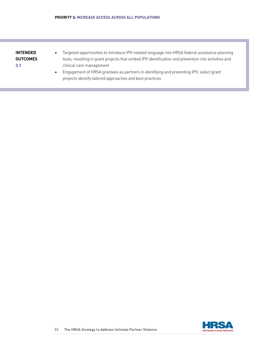## **INTENDED OUTCOMES 3.1**

- Targeted opportunities to introduce IPV-related language into HRSA federal assistance planning tools, resulting in grant projects that embed IPV identification and prevention into activities and clinical care management
- Engagement of HRSA grantees as partners in identifying and preventing IPV; select grant projects identify tailored approaches and best practices

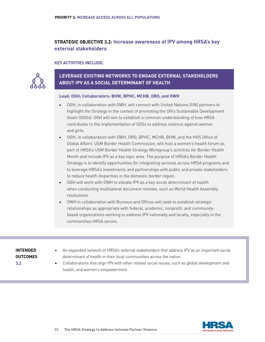# **STRATEGIC OBJECTIVE 3.2: Increase awareness of IPV among HRSA's key external stakeholders**

#### **KEY ACTIVITIES INCLUDE:**



# **LEVERAGE EXISTING NETWORKS TO ENGAGE EXTERNAL STAKEHOLDERS ABOUT IPV AS A SOCIAL DETERMINANT OF HEALTH**

#### **Lead: OGH; Collaborators: BHW, BPHC, MCHB, ORO, and OWH**

- OGH, in collaboration with OWH, will connect with United Nations (UN) partners to highlight the Strategy in the context of promoting the UN's Sustainable Development Goals (SDGs). OGH will aim to establish a common understanding of how HRSA contributes to the implementation of SDGs to address violence against women and girls.
- OGH, in collaboration with OWH, ORO, BPHC, MCHB, BHW, and the HHS Office of Global Affairs' USM Border Health Commission, will host a women's health forum as part of HRSA's USM Border Health Strategy Workgroup's activities for Border Health Month and include IPV as a key topic area. The purpose of HRSA's Border Health Strategy is to identify opportunities for integrating services across HRSA programs and to leverage HRSA's investments and partnerships with public and private stakeholders to reduce health disparities in the domestic border region.
- OGH will work with OWH to elevate IPV as a key social determinant of health when conducting multilateral document reviews, such as World Health Assembly resolutions.
- OWH in collaboration with Bureaus and Offices will seek to establish strategic relationships as appropriate with federal, academic, nonprofit, and communitybased organizations working to address IPV nationally and locally, especially in the communities HRSA serves.

## **INTENDED OUTCOMES 3.2**

- An expanded network of HRSA's external stakeholders that address IPV as an important social determinant of health in their local communities across the nation
- Collaborations that align IPV with other related social issues, such as global development and health, and women's empowerment

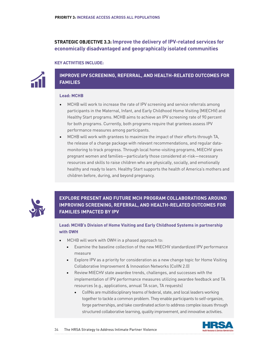# **STRATEGIC OBJECTIVE 3.3: Improve the delivery of IPV-related services for economically disadvantaged and geographically isolated communities**

#### **KEY ACTIVITIES INCLUDE:**



**IMPROVE IPV SCREENING, REFERRAL, AND HEALTH-RELATED OUTCOMES FOR FAMILIES**

#### **Lead: MCHB**

- MCHB will work to increase the rate of IPV screening and service referrals among participants in the Maternal, Infant, and Early Childhood Home Visiting (MIECHV) and Healthy Start programs. MCHB aims to achieve an IPV screening rate of 90 percent for both programs. Currently, both programs require that grantees assess IPV performance measures among participants.
- MCHB will work with grantees to maximize the impact of their efforts through TA, the release of a change package with relevant recommendations, and regular datamonitoring to track progress. Through local home-visiting programs, MIECHV gives pregnant women and families—particularly those considered at-risk—necessary resources and skills to raise children who are physically, socially, and emotionally healthy and ready to learn. Healthy Start supports the health of America's mothers and children before, during, and beyond pregnancy.



**EXPLORE PRESENT AND FUTURE MCH PROGRAM COLLABORATIONS AROUND IMPROVING SCREENING, REFERRAL, AND HEALTH-RELATED OUTCOMES FOR FAMILIES IMPACTED BY IPV** 

**Lead: MCHB's Division of Home Visiting and Early Childhood Systems in partnership with OWH** 

- MCHB will work with OWH in a phased approach to:
	- Examine the baseline collection of the new MIECHV standardized IPV performance measure
	- Explore IPV as a priority for consideration as a new change topic for Home Visiting Collaborative Improvement & Innovation Networks (CoIIN 2.0)
	- Review MIECHV state awardee trends, challenges, and successes with the implementation of IPV performance measures utilizing awardee feedback and TA resources (e.g., applications, annual TA scan, TA requests)
		- CoIINs are multidisciplinary teams of federal, state, and local leaders working together to tackle a common problem. They enable participants to self-organize, forge partnerships, and take coordinated action to address complex issues through structured collaborative learning, quality improvement, and innovative activities.

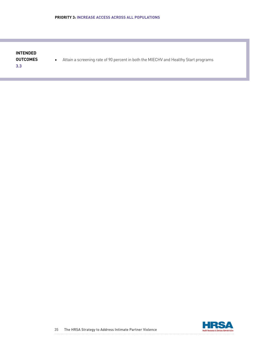# **INTENDED OUTCOMES 3.3**

• Attain a screening rate of 90 percent in both the MIECHV and Healthy Start programs

HRSA Health Resources & Services Administration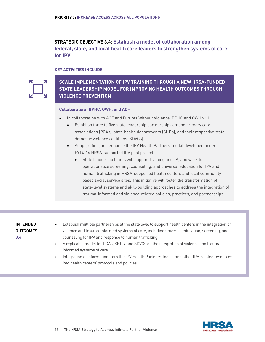**STRATEGIC OBJECTIVE 3.4: Establish a model of collaboration among federal, state, and local health care leaders to strengthen systems of care for IPV** 

**KEY ACTIVITIES INCLUDE:**



**SCALE IMPLEMENTATION OF IPV TRAINING THROUGH A NEW HRSA-FUNDED STATE LEADERSHIP MODEL FOR IMPROVING HEALTH OUTCOMES THROUGH VIOLENCE PREVENTION**

#### **Collaborators: BPHC, OWH, and ACF**

- In collaboration with ACF and Futures Without Violence, BPHC and OWH will:
	- Establish three to five state leadership partnerships among primary care associations (PCAs), state health departments (SHDs), and their respective state domestic violence coalitions (SDVCs)
	- Adapt, refine, and enhance the IPV Health Partners Toolkit developed under FY14-16 HRSA-supported IPV pilot projects
		- State leadership teams will support training and TA, and work to operationalize screening, counseling, and universal education for IPV and human trafficking in HRSA-supported health centers and local communitybased social service sites. This initiative will foster the transformation of state-level systems and skill-building approaches to address the integration of trauma-informed and violence-related policies, practices, and partnerships.

## **INTENDED OUTCOMES 3.4**

- Establish multiple partnerships at the state level to support health centers in the integration of violence and trauma-informed systems of care, including universal education, screening, and counseling for IPV and response to human trafficking
- A replicable model for PCAs, SHDs, and SDVCs on the integration of violence and traumainformed systems of care
- Integration of information from the IPV Health Partners Toolkit and other IPV-related resources into health centers' protocols and policies

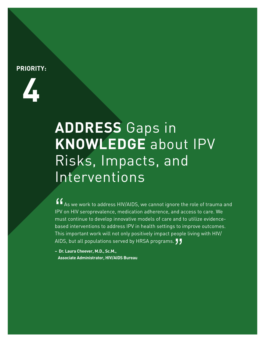# <span id="page-36-0"></span>**PRIORITY:**



# **ADDRESS** Gaps in **KNOWLEDGE** about IPV Risks, Impacts, and Interventions

AIDS, but all populations served by HRSA programs. **J J**<br>- Dr. Laura Cheever, M.D., Sc.M.,<br>Associate Administrator, HIV/AIDS Bureau  $'$ As we work to address HIV/AIDS, we cannot ignore the role of trauma and IPV on HIV seroprevalence, medication adherence, and access to care. We must continue to develop innovative models of care and to utilize evidencebased interventions to address IPV in health settings to improve outcomes. This important work will not only positively impact people living with HIV/

**– Dr. Laura Cheever, M.D., Sc.M., Associate Administrator, HIV/AIDS Bureau**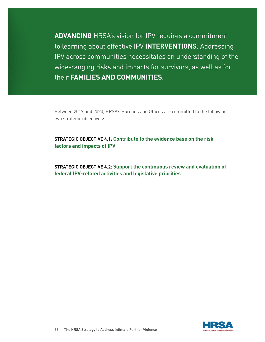**ADVANCING** HRSA's vision for IPV requires a commitment to learning about effective IPV **INTERVENTIONS**. Addressing IPV across communities necessitates an understanding of the wide-ranging risks and impacts for survivors, as well as for their **FAMILIES AND COMMUNITIES**.

Between 2017 and 2020, HRSA's Bureaus and Offices are committed to the following two strategic objectives:

**STRATEGIC OBJECTIVE 4.1: Contribute to the evidence base on the risk factors and impacts of IPV**

**STRATEGIC OBJECTIVE 4.2: Support the continuous review and evaluation of federal IPV-related activities and legislative priorities**

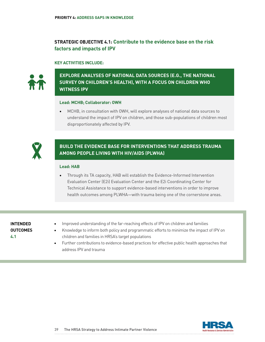# **STRATEGIC OBJECTIVE 4.1: Contribute to the evidence base on the risk factors and impacts of IPV**

## **KEY ACTIVITIES INCLUDE:**



# **EXPLORE ANALYSES OF NATIONAL DATA SOURCES (E.G., THE NATIONAL SURVEY ON CHILDREN'S HEALTH), WITH A FOCUS ON CHILDREN WHO WITNESS IPV**

#### **Lead: MCHB; Collaborator: OWH**

• MCHB, in consultation with OWH, will explore analyses of national data sources to understand the impact of IPV on children, and those sub-populations of children most disproportionately affected by IPV.



# **BUILD THE EVIDENCE BASE FOR INTERVENTIONS THAT ADDRESS TRAUMA AMONG PEOPLE LIVING WITH HIV/AIDS (PLWHA)**

## **Lead: HAB**

• Through its TA capacity, HAB will establish the Evidence-Informed Intervention Evaluation Center (E2i) Evaluation Center and the E2i Coordinating Center for Technical Assistance to support evidence-based interventions in order to improve health outcomes among PLWHA—with trauma being one of the cornerstone areas.

# **INTENDED OUTCOMES 4.1**

- Improved understanding of the far-reaching effects of IPV on children and families
- Knowledge to inform both policy and programmatic efforts to minimize the impact of IPV on children and families in HRSA's target populations
- Further contributions to evidence-based practices for effective public health approaches that address IPV and trauma

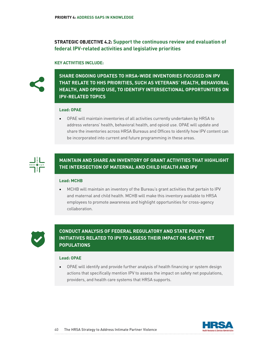# **STRATEGIC OBJECTIVE 4.2: Support the continuous review and evaluation of federal IPV-related activities and legislative priorities**

#### **KEY ACTIVITIES INCLUDE:**



**SHARE ONGOING UPDATES TO HRSA-WIDE INVENTORIES FOCUSED ON IPV THAT RELATE TO HHS PRIORITIES, SUCH AS VETERANS' HEALTH, BEHAVIORAL HEALTH, AND OPIOID USE, TO IDENTIFY INTERSECTIONAL OPPORTUNITIES ON IPV-RELATED TOPICS**

#### **Lead: OPAE**

• OPAE will maintain inventories of all activities currently undertaken by HRSA to address veterans' health, behavioral health, and opioid use. OPAE will update and share the inventories across HRSA Bureaus and Offices to identify how IPV content can be incorporated into current and future programming in these areas.



# **MAINTAIN AND SHARE AN INVENTORY OF GRANT ACTIVITIES THAT HIGHLIGHT THE INTERSECTION OF MATERNAL AND CHILD HEALTH AND IPV**

## **Lead: MCHB**

• MCHB will maintain an inventory of the Bureau's grant activities that pertain to IPV and maternal and child health. MCHB will make this inventory available to HRSA employees to promote awareness and highlight opportunities for cross-agency collaboration.



# **CONDUCT ANALYSIS OF FEDERAL REGULATORY AND STATE POLICY INITIATIVES RELATED TO IPV TO ASSESS THEIR IMPACT ON SAFETY NET POPULATIONS**

#### **Lead: OPAE**

• OPAE will identify and provide further analysis of health financing or system design actions that specifically mention IPV to assess the impact on safety net populations, providers, and health care systems that HRSA supports.

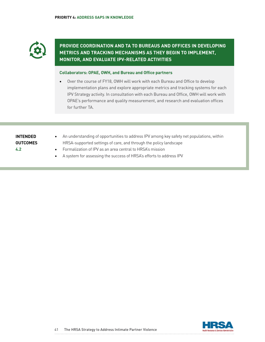

# **PROVIDE COORDINATION AND TA TO BUREAUS AND OFFICES IN DEVELOPING METRICS AND TRACKING MECHANISMS AS THEY BEGIN TO IMPLEMENT, MONITOR, AND EVALUATE IPV-RELATED ACTIVITIES**

## **Collaborators: OPAE, OWH, and Bureau and Office partners**

• Over the course of FY18, OWH will work with each Bureau and Office to develop implementation plans and explore appropriate metrics and tracking systems for each IPV Strategy activity. In consultation with each Bureau and Office, OWH will work with OPAE's performance and quality measurement, and research and evaluation offices for further TA.

# **INTENDED OUTCOMES 4.2**

- An understanding of opportunities to address IPV among key safety net populations, within HRSA-supported settings of care, and through the policy landscape
- Formalization of IPV as an area central to HRSA's mission
- A system for assessing the success of HRSA's efforts to address IPV

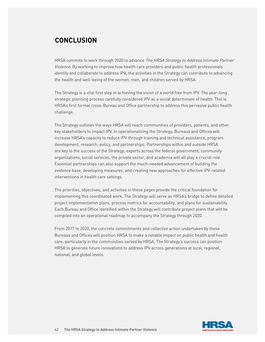# <span id="page-41-0"></span>**CONCLUSION**

HRSA commits to work through 2020 to advance The HRSA Strategy to Address Intimate Partner Violence. By working to improve how health care providers and public health professionals identify and collaborate to address IPV, the activities in the Strategy can contribute to advancing the health and well-being of the women, men, and children served by HRSA.

The Strategy is a vital first step in achieving the vision of a world free from IPV. The year-long strategic planning process carefully considered IPV as a social determinant of health. This is HRSA's first formal cross-Bureau and Office partnership to address this pervasive public health challenge.

The Strategy outlines the ways HRSA will reach communities of providers, patients, and other key stakeholders to impact IPV. In operationalizing the Strategy, Bureaus and Offices will increase HRSA's capacity to reduce IPV through training and technical assistance, program development, research, policy, and partnerships. Partnerships within and outside HRSA are key to the success of the Strategy; experts across the federal government, community organizations, social services, the private sector, and academia will all play a crucial role. Essential partnerships can also support the much-needed advancement of building the evidence base, developing measures, and creating new approaches for effective IPV-related interventions in health care settings.

The priorities, objectives, and activities in these pages provide the critical foundation for implementing this coordinated work. The Strategy will serve as HRSA's bridge to define detailed project implementation plans, process metrics for accountability, and plans for sustainability. Each Bureau and Office identified within the Strategy will contribute project plans that will be compiled into an operational roadmap to accompany the Strategy through 2020.

From 2017 to 2020, the concrete commitments and collective action undertaken by these Bureaus and Offices will position HRSA to make a notable impact on public health and health care, particularly in the communities served by HRSA. The Strategy's success can position HRSA to generate future innovations to address IPV across generations at local, regional, national, and global levels.

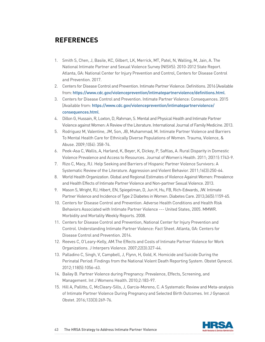# <span id="page-42-0"></span>**REFERENCES**

- 1. Smith S, Chen, J, Basile, KC, Gilbert, LK, Merrick, MT, Patel, N, Walling, M, Jain, A. The National Intimate Partner and Sexual Violence Survey (NISVS): 2010-2012 State Report. Atlanta, GA: National Center for Injury Prevention and Control, Centers for Disease Control and Prevention. 2017.
- 2. Centers for Disease Control and Prevention. Intimate Partner Violence: Definitions. 2016 [Available from: <https://www.cdc.gov/violenceprevention/intimatepartnerviolence/definitions.html>.
- 3. Centers for Disease Control and Prevention. Intimate Partner Violence: Consequences. 2015 [Available from: [https://www.cdc.gov/violenceprevention/intimatepartnerviolence/](https://www.cdc.gov/violenceprevention/intimatepartnerviolence/consequences.html) [consequences.html](https://www.cdc.gov/violenceprevention/intimatepartnerviolence/consequences.html).
- 4. Dillon G, Hussain, R, Loxton, D, Rahman, S. Mental and Physical Health and Intimate Partner Violence against Women: A Review of the Literature. International Journal of Family Medicine. 2013.
- 5. Rodriguez M, Valentine, JM, Son, JB, Muhammad, M. Intimate Partner Violence and Barriers To Mental Health Care for Ethnically Diverse Populations of Women. Trauma, Violence, & Abuse. 2009;10(4): 358-74.
- 6. Peek-Asa C, Wallis, A, Harland, K, Beyer, K, Dickey, P, Saftlas, A. Rural Disparity in Domestic Violence Prevalence and Access to Resources. Journal of Women's Health. 2011; 20(11):1743-9.
- 7. Rizo C, Macy, RJ. Help Seeking and Barriers of Hispanic Partner Violence Survivors: A Systematic Review of the Literature. Aggression and Violent Behavior. 2011;16(3):250-64.
- 8. World Health Organization. Global and Regional Estimates of Violence Against Women: Prevalence and Health Effects of Intimate Partner Violence and Non-partner Sexual Violence. 2013.
- 9. Mason S, Wright, RJ, Hibert, EN, Spiegelman, D, Jun H, Hu, FB, Rich-Edwards, JW. Intimate Partner Violence and Incidence of Type 2 Diabetes in Women. Diabetes Care. 2013;36(5):1159-65.
- 10. Centers for Disease Control and Prevention. Adverse Health Conditions and Health Risk Behaviors Associated with Intimate Partner Violence --- United States, 2005. MMWR. Morbidity and Mortality Weekly Reports. 2008.
- 11. Centers for Disease Control and Prevention, National Center for Injury Prevention and Control. Understanding Intimate Partner Violence: Fact Sheet. Atlanta, GA: Centers for Disease Control and Prevention. 2014.
- 12. Reeves C, O'Leary-Kelly, AM.The Effects and Costs of Intimate Partner Violence for Work Organizations. J Interpers Violence. 2007;22(3):327-44.
- 13. Palladino C, Singh, V, Campbell, J, Flynn, H, Gold, K. Homicide and Suicide During the Perinatal Period: Findings from the National Violent Death Reporting System. Obstet Gynecol. 2012;118(5):1056–63.
- 14. Bailey B. Partner Violence during Pregnancy: Prevalence, Effects, Screening, and Management. Int J Womens Health. 2010;2:183-97.
- 15. Hill A, Pallitto, C, McCleary-Sills, J, Garcia-Moreno, C. A Systematic Review and Meta-analysis of Intimate Partner Violence During Pregnancy and Selected Birth Outcomes. Int J Gynaecol Obstet. 2016;133(3):269-76.

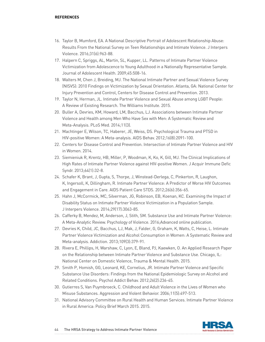#### **REFERENCES**

- 16. Taylor B, Mumford, EA. A National Descriptive Portrait of Adolescent Relationship Abuse: Results From the National Survey on Teen Relationships and Intimate Violence. J Interpers Violence. 2016;31(6):963-88.
- 17. Halpern C, Spriggs, AL, Martin, SL, Kupper, LL. Patterns of Intimate Partner Violence Victimization from Adolescence to Young Adulthood in a Nationally Representative Sample. Journal of Adolescent Health. 2009;45:508-16.
- 18. Walters M, Chen J, Breiding, MJ. The National Intimate Partner and Sexual Violence Survey (NISVS): 2010 Findings on Victimization by Sexual Orientation. Atlanta, GA: National Center for Injury Prevention and Control, Centers for Disease Control and Prevention. 2013.
- 19. Taylor N, Herman, JL. Intimate Partner Violence and Sexual Abuse among LGBT People: A Review of Existing Research. The Williams Institute. 2015.
- 20. Buller A, Devries, KM, Howard, LM, Bacchus, LJ. Associations between Intimate Partner Violence and Health among Men Who Have Sex with Men: A Systematic Review and Meta-Analysis. PLoS Med. 2014;11(3).
- 21. Machtinger E, Wilson, TC, Haberer, JE, Weiss, DS. Psychological Trauma and PTSD in HIV-positive Women: A Meta-analysis. AIDS Behav. 2012;16(8):2091-100.
- 22. Centers for Disease Control and Prevention. Intersection of Intimate Partner Violence and HIV in Women. 2014.
- 23. Siemieniuk R, Krentz, HB, Miller, P, Woodman, K, Ko, K, Gill, MJ. The Clinical Implications of High Rates of Intimate Partner Violence against HIV-positive Women. J Acquir Immune Defic Syndr. 2013;64(1):32-8.
- 24. Schafer K, Brant, J, Gupta, S, Thorpe, J, Winstead-Derlega, C, Pinkerton, R, Laughon, K, Ingersoll, K, Dillingham, R. Intimate Partner Violence: A Predictor of Worse HIV Outcomes and Engagement in Care. AIDS Patient Care STDS. 2012;26(6):356-65.
- 25. Hahn J, McCormick, MC, Silverman, JG, Robinson, EB, Koenan, KC. Examining the Impact of Disability Status on Intimate Partner Violence Victimization in a Population Sample. J Interpers Violence. 2014;29(17):3063-85.
- 26. Cafferky B, Mendez, M, Anderson, J, Stith, SM. Substance Use and Intimate Partner Violence: A Meta-Analytic Review. Psychology of Violence. 2016;Advanced online publication.
- 27. Devries K, Child, JC, Bacchus, LJ, Mak, J, Falder, G, Graham, K, Watts, C, Heise, L. Intimate Partner Violence Victimization and Alcohol Consumption in Women: A Systematic Review and Meta-analysis. Addiction. 2013;109(3):379-91.
- 28. Rivera E, Phillips, H, Warshaw, C, Lyon, E, Bland, PJ, Kaewken, O. An Applied Research Paper on the Relationship between Intimate Partner Violence and Substance Use. Chicago, IL: National Center on Domestic Violence, Trauma & Mental Health. 2015.
- 29. Smith P, Homish, GG, Leonard, KE, Cornelius, JR. Intimate Partner Violence and Specific Substance Use Disorders: Findings from the National Epidemiologic Survey on Alcohol and Related Conditions. Psychol Addict Behav. 2012;26(2):236-45.
- 30. Gutierres S, Van Puymbroeck, C. Childhood and Adult Violence in the Lives of Women who Misuse Substances. Aggression and Violent Behavior. 2006;11(5):497-513.
- 31. National Advisory Committee on Rural Health and Human Services. Intimate Partner Violence in Rural America: Policy Brief March 2015. 2015.

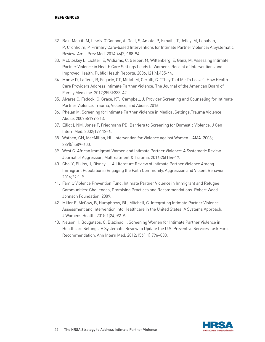#### **REFERENCES**

- 32. Bair-Merritt M, Lewis-O'Connor, A, Goel, S, Amato, P, Ismailji, T, Jelley, M, Lenahan, P, Cronholm, P. Primary Care-based Interventions for Intimate Partner Violence: A Systematic Review. Am J Prev Med. 2014;46(2):188-94.
- 33. McCloskey L, Lichter, E, Williams, C, Gerber, M, Wittenberg, E, Ganz, M. Assessing Intimate Partner Violence in Health Care Settings Leads to Women's Receipt of Interventions and Improved Health. Public Health Reports. 2006;121(4):435-44.
- 34. Morse D, Lafleur, R, Fogarty, CT, Mittal, M, Cerulli, C. "They Told Me To Leave": How Health Care Providers Address Intimate Partner Violence. The Journal of the American Board of Family Medicine. 2012;25(3):333-42.
- 35. Alvarez C, Fedock, G, Grace, KT, Campbell, J. Provider Screening and Counseling for Intimate Partner Violence. Trauma, Violence, and Abuse. 2016.
- 36. Phelan M. Screening for Intimate Partner Violence in Medical Settings.Trauma Violence Abuse. 2007;8:199-213.
- 37. Elliot L NM, Jones T, Friedmann PD. Barriers to Screening for Domestic Violence. J Gen Intern Med. 2002;17:112–6.
- 38. Wathen, CN, MacMillan, HL. Intervention for Violence against Women. JAMA. 2003; 289(5):589–600.
- 39. West C. African Immigrant Women and Intimate Partner Violence: A Systematic Review. Journal of Aggression, Maltreatment & Trauma. 2016;25(1):4-17.
- 40. Choi Y, Elkins, J, Disney, L. A Literature Review of Intimate Partner Violence Among Immigrant Populations: Engaging the Faith Community. Aggression and Violent Behavior. 2016;29:1-9.
- 41. Family Violence Prevention Fund. Intimate Partner Violence in Immigrant and Refugee Communities: Challenges, Promising Practices and Recommendations. Robert Wood Johnson Foundation. 2009.
- 42. Miller E, McCaw, B, Humphreys, BL, Mitchell, C. Integrating Intimate Partner Violence Assessment and Intervention into Healthcare in the United States: A Systems Approach. J Womens Health. 2015;1(24):92-9.
- 43. Nelson H, Bougatsos, C, Blazinaq, I. Screening Women for Intimate Partner Violence in Healthcare Settings: A Systematic Review to Update the U.S. Preventive Services Task Force Recommendation. Ann Intern Med. 2012;156(11):796–808.

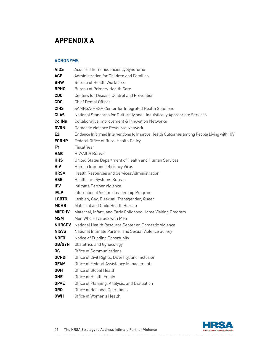# <span id="page-45-0"></span>**APPENDIX A**

## **ACRONYMS**

| <b>AIDS</b>   | Acquired Immunodeficiency Syndrome                                                      |
|---------------|-----------------------------------------------------------------------------------------|
| <b>ACF</b>    | Administration for Children and Families                                                |
| <b>BHW</b>    | Bureau of Health Workforce                                                              |
| <b>BPHC</b>   | Bureau of Primary Health Care                                                           |
| <b>CDC</b>    | Centers for Disease Control and Prevention                                              |
| <b>CDO</b>    | <b>Chief Dental Officer</b>                                                             |
| <b>CIHS</b>   | SAMHSA-HRSA Center for Integrated Health Solutions                                      |
| <b>CLAS</b>   | National Standards for Culturally and Linguistically Appropriate Services               |
| <b>CollNs</b> | Collaborative Improvement & Innovation Networks                                         |
| <b>DVRN</b>   | Domestic Violence Resource Network                                                      |
| E2i           | Evidence Informed Interventions to Improve Health Outcomes among People Living with HIV |
| <b>FORHP</b>  | Federal Office of Rural Health Policy                                                   |
| FY.           | Fiscal Year                                                                             |
| <b>HAB</b>    | <b>HIV/AIDS Bureau</b>                                                                  |
| <b>HHS</b>    | United States Department of Health and Human Services                                   |
| <b>HIV</b>    | Human Immunodeficiency Virus                                                            |
| <b>HRSA</b>   | <b>Health Resources and Services Administration</b>                                     |
| <b>HSB</b>    | Healthcare Systems Bureau                                                               |
| <b>IPV</b>    | Intimate Partner Violence                                                               |
| <b>IVLP</b>   | International Visitors Leadership Program                                               |
| <b>LGBTQ</b>  | Lesbian, Gay, Bisexual, Transgender, Queer                                              |
| <b>MCHB</b>   | Maternal and Child Health Bureau                                                        |
| <b>MIECHV</b> | Maternal, Infant, and Early Childhood Home Visiting Program                             |
| <b>MSM</b>    | Men Who Have Sex with Men                                                               |
| <b>NHRCDV</b> | National Health Resource Center on Domestic Violence                                    |
| <b>NISVS</b>  | National Intimate Partner and Sexual Violence Survey                                    |
| <b>NOFO</b>   | Notice of Funding Opportunity                                                           |
| OB/GYN        | <b>Obstetrics and Gynecology</b>                                                        |
| <b>OC</b>     | Office of Communications                                                                |
| <b>OCRDI</b>  | Office of Civil Rights, Diversity, and Inclusion                                        |
| <b>OFAM</b>   | Office of Federal Assistance Management                                                 |
| <b>OGH</b>    | Office of Global Health                                                                 |
| <b>OHE</b>    | Office of Health Equity                                                                 |
| <b>OPAE</b>   | Office of Planning, Analysis, and Evaluation                                            |
| <b>ORO</b>    | Office of Regional Operations                                                           |
| <b>OWH</b>    | Office of Women's Health                                                                |

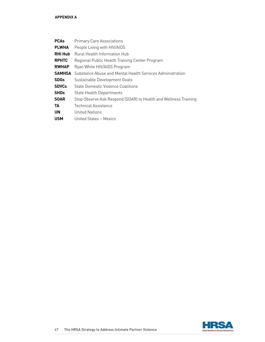| <b>PCAs</b>            | <b>Primary Care Associations</b>                                |
|------------------------|-----------------------------------------------------------------|
| <b>PLWHA</b>           | People Living with HIV/AIDS                                     |
| <b>RHI Hub</b>         | Rural Health Information Hub                                    |
| <b>RPHTC</b>           | Regional Public Health Training Center Program                  |
| <b>RWHAP</b>           | Ryan White HIV/AIDS Program                                     |
| <b>SAMHSA</b>          | Substance Abuse and Mental Health Services Administration       |
| <b>SDGs</b>            | Sustainable Development Goals                                   |
| <b>SDVCs</b>           | State Domestic Violence Coalitions                              |
| <b>SHD<sub>s</sub></b> | <b>State Health Departments</b>                                 |
| <b>SOAR</b>            | Stop Observe Ask Respond (SOAR) to Health and Wellness Training |
| TA                     | <b>Technical Assistance</b>                                     |
| UN                     | <b>United Nations</b>                                           |
| <b>USM</b>             | United States - Mexico                                          |

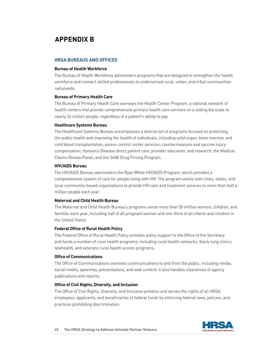# <span id="page-47-0"></span>**APPENDIX B**

## **HRSA BUREAUS AND OFFICES**

#### **Bureau of Health Workforce**

The Bureau of Health Workforce administers programs that are designed to strengthen the health workforce and connect skilled professionals to underserved rural, urban, and tribal communities nationwide.

#### **Bureau of Primary Health Care**

The Bureau of Primary Health Care oversees the Health Center Program, a national network of health centers that provide comprehensive primary health care services on a sliding fee scale to nearly 26 million people, regardless of a patient's ability to pay.

#### **Healthcare Systems Bureau**

The Healthcare Systems Bureau encompasses a diverse set of programs focused on protecting the public health and improving the health of individuals, including solid organ, bone marrow, and cord blood transplantation; poison control center services; countermeasure and vaccine injury compensation; Hansen's Disease direct patient care, provider education, and research; the Medical Claims Review Panel; and the 340B Drug Pricing Program.

#### **HIV/AIDS Bureau**

The HIV/AIDS Bureau administers the Ryan White HIV/AIDS Program, which provides a comprehensive system of care for people living with HIV. The program works with cities, states, and local community-based organizations to provide HIV care and treatment services to more than half a million people each year.

#### **Maternal and Child Health Bureau**

The Maternal and Child Health Bureau's programs serve more than 50 million women, children, and families each year, including half of all pregnant women and one-third of all infants and children in the United States.

#### **Federal Office of Rural Health Policy**

The Federal Office of Rural Health Policy provides policy support to the Office of the Secretary and funds a number of rural health programs, including rural health networks, black lung clinics, telehealth, and veterans rural health access programs.

### **Office of Communications**

The Office of Communications oversees communications to and from the public, including media, social media, speeches, presentations, and web content; it also handles clearances of agency publications and reports.

#### **Office of Civil Rights, Diversity, and Inclusion**

The Office of Civil Rights, Diversity, and Inclusion protects and serves the rights of all HRSA employees, applicants, and beneficiaries of federal funds by enforcing federal laws, policies, and practices prohibiting discrimination.

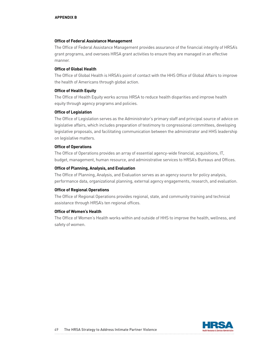#### **Office of Federal Assistance Management**

The Office of Federal Assistance Management provides assurance of the financial integrity of HRSA's grant programs, and oversees HRSA grant activities to ensure they are managed in an effective manner.

### **Office of Global Health**

The Office of Global Health is HRSA's point of contact with the HHS Office of Global Affairs to improve the health of Americans through global action.

#### **Office of Health Equity**

The Office of Health Equity works across HRSA to reduce health disparities and improve health equity through agency programs and policies.

#### **Office of Legislation**

The Office of Legislation serves as the Administrator's primary staff and principal source of advice on legislative affairs, which includes preparation of testimony to congressional committees, developing legislative proposals, and facilitating communication between the administrator and HHS leadership on legislative matters.

#### **Office of Operations**

The Office of Operations provides an array of essential agency-wide financial, acquisitions, IT, budget, management, human resource, and administrative services to HRSA's Bureaus and Offices.

#### **Office of Planning, Analysis, and Evaluation**

The Office of Planning, Analysis, and Evaluation serves as an agency source for policy analysis, performance data, organizational planning, external agency engagements, research, and evaluation.

#### **Office of Regional Operations**

The Office of Regional Operations provides regional, state, and community training and technical assistance through HRSA's ten regional offices.

#### **Office of Women's Health**

The Office of Women's Health works within and outside of HHS to improve the health, wellness, and safety of women.

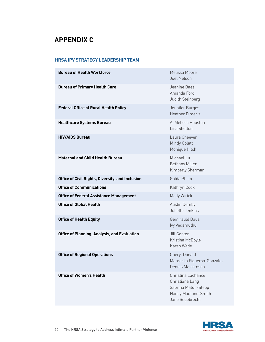# <span id="page-49-0"></span>**APPENDIX C**

## **HRSA IPV STRATEGY LEADERSHIP TEAM**

| <b>Bureau of Health Workforce</b>                   | Melissa Moore<br><b>Joel Nelson</b>                                                                     |
|-----------------------------------------------------|---------------------------------------------------------------------------------------------------------|
| <b>Bureau of Primary Health Care</b>                | Jeanine Baez<br>Amanda Ford<br>Judith Steinberg                                                         |
| <b>Federal Office of Rural Health Policy</b>        | Jennifer Burges<br><b>Heather Dimeris</b>                                                               |
| <b>Healthcare Systems Bureau</b>                    | A. Melissa Houston<br>Lisa Shelton                                                                      |
| <b>HIV/AIDS Bureau</b>                              | Laura Cheever<br><b>Mindy Golatt</b><br>Monique Hitch                                                   |
| <b>Maternal and Child Health Bureau</b>             | Michael Lu<br><b>Bethany Miller</b><br>Kimberly Sherman                                                 |
| Office of Civil Rights, Diversity, and Inclusion    | Golda Philip                                                                                            |
| <b>Office of Communications</b>                     | Kathryn Cook                                                                                            |
| <b>Office of Federal Assistance Management</b>      | <b>Molly Wirick</b>                                                                                     |
| <b>Office of Global Health</b>                      | <b>Austin Demby</b><br>Juliette Jenkins                                                                 |
| <b>Office of Health Equity</b>                      | <b>Gemirauld Daus</b><br>lvy Vedamuthu                                                                  |
| <b>Office of Planning, Analysis, and Evaluation</b> | Jill Center<br>Kristina McBoyle<br>Karen Wade                                                           |
| <b>Office of Regional Operations</b>                | <b>Cheryl Donald</b><br>Margarita Figueroa-Gonzalez<br>Dennis Malcomson                                 |
| <b>Office of Women's Health</b>                     | Christina Lachance<br>Christiana Lang<br>Sabrina Matoff-Stepp<br>Nancy Mautone-Smith<br>Jane Segebrecht |

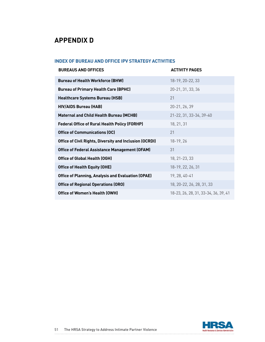# <span id="page-50-0"></span>**APPENDIX D**

# **INDEX OF BUREAU AND OFFICE IPV STRATEGY ACTIVITIES**

| <b>BUREAUS AND OFFICES</b>                                     | <b>ACTIVITY PAGES</b>                |
|----------------------------------------------------------------|--------------------------------------|
| <b>Bureau of Health Workforce (BHW)</b>                        | 18-19, 20-22, 33                     |
| <b>Bureau of Primary Health Care (BPHC)</b>                    | 20-21, 31, 33, 36                    |
| <b>Healthcare Systems Bureau (HSB)</b>                         | 21                                   |
| <b>HIV/AIDS Bureau (HAB)</b>                                   | 20-21, 26, 39                        |
| <b>Maternal and Child Health Bureau (MCHB)</b>                 | 21-22, 31, 33-34, 39-40              |
| <b>Federal Office of Rural Health Policy (FORHP)</b>           | 18, 21, 31                           |
| <b>Office of Communications (OC)</b>                           | 21                                   |
| <b>Office of Civil Rights, Diversity and Inclusion (OCRDI)</b> | 18-19, 26                            |
| <b>Office of Federal Assistance Management (OFAM)</b>          | 31                                   |
| <b>Office of Global Health (OGH)</b>                           | 18, 21-23, 33                        |
| <b>Office of Health Equity (OHE)</b>                           | 18-19, 22, 26, 31                    |
| <b>Office of Planning, Analysis and Evaluation (OPAE)</b>      | 19, 28, 40-41                        |
| <b>Office of Regional Operations (ORO)</b>                     | 18, 20-22, 26, 28, 31, 33            |
| <b>Office of Women's Health (OWH)</b>                          | 18-23, 26, 28, 31, 33-34, 36, 39, 41 |

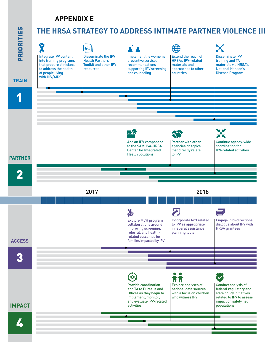# **APPENDIX E**



# **THE HRSA STRATEGY TO ADDRESS INTIMATE PARTNER VIOLENCE (II**